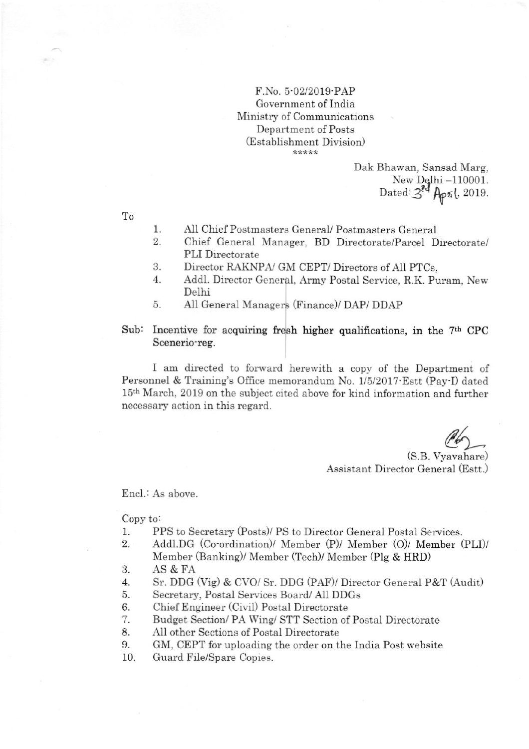F.No. 5'02/2019'PAP Government of India Ministry of Communications Department of Posts (Establishment Diyision) \*\*\*\*\*

> Dak Bhawan, Sansad Marg, New Delhi -110001. Dated: 3<sup>89</sup> April, 2019.

To

- I All Chief Postmasters GeneraU Postmasters General
- 2. Chief General Manager, BD Directorate/Parcel Directorate/ PLI Directorate
- 3. Director RAKNPA/ GM CEPT/ Directors of All PTCs,
- 4 Addl. Director General, Army Postal Service, R.K. Puram, New. Delhi
- 5 All General Managers (Finance)/ DAP/ DDAP
- Sub: Incentive for acquiring fresh higher qualifications, in the 7<sup>th</sup> CPC Scenerio'reg.

I am directed to forward herewith a copy of the Department of Personnel & Training's Office memorandum No. 1/5/2017 Estt (Pay-I) dated 15<sup>th</sup> March, 2019 on the subject cited above for kind information and further necessary action in this regard.

 $\mathscr{A}_2$ 

(S.B. Vyavahare) Assistant Director General (Estt.)

Encl.: As above

Copy to:

- 1. PPS to Secretary (Posts)/ PS to Director General Postal Services.<br>2. Addl.DG (Co-ordination)/ Member (P)/ Member (O)/ Member (
- Addl.DG (Co-ordination)/ Member (P)/ Member (O)/ Member (PLI)/ Member (Banking)/ Member (Tech)/ Member (Plg & HRD)
- 3. AS&FA
- 4. Sr. DDG (Vig) & CVO/ Sr. DDG (PAF)/ Director General P&T (Audit)<br>5. Secretary. Postal Services Board/ All DDGs
- Secretary, Postal Services Board/ All DDGs
- 
- 6. Chief Engineer (Civil) Postal Directorate<br>7. Budget Section/ PA Wing/ STT Section of Budget Section/ PA Wing/ STT Section of Postal Directorate
- 8. All other Sections of Postal Directorate
- 9. GM, CEPT for uploading the order on the lndia Post website
- 10. Guard File/Spare Copies.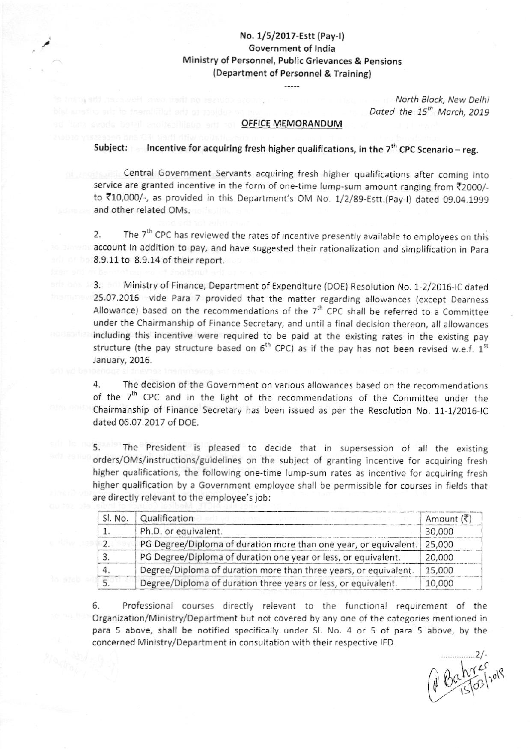# No. 1/5/2017-Estt (Pay-I) Government of india Ministry of Personnel, Public Grievances & pensions (Department of Personnel & Training)

Notth Block, New Delhi Dated the  $15^{th}$  March, 2019

### OFFICE MEMORANDUM

## Subject: Incentive for acquiring fresh higher qualifications, in the  $7<sup>th</sup>$  CPC Scenario - reg.

Central Government Servants acquiring fresh higher qualifications after coming into service are granted incentive in the form of one-time lump-sum amount ranging from ₹2000/to ₹10,000/-, as provided in this Department's OM No. 1/2/89-Estt.(Pay-I) dated 09.04.1999 and other related OMs.

2. The 7<sup>th</sup> CPC has reviewed the rates of incentive presently available to employees on this account in addition to pay, and have suggested their rationalization and simplification in Para 8.9.11 to 8.9.14 of their report.

3. Ministry of Finance, Department of Expenditure (DOE) Resolution No. 1-2/2016-IC dated 25.07.2016 vide Para 7 provided that the matter regarding allowances (except Dearness Allowance) based on the recommendations of the  $7<sup>th</sup>$  CPC shall be referred to a Committee under the Chairmanship of Finance Secretary, and until a final decision thereon, all allowances including this incentive were required to be paid at the existing rates in the existing pay structure (the pay structure based on  $6<sup>th</sup>$  CPC) as if the pay has not been revised w.e.f.  $1<sup>st</sup>$ January, 2016.

4. The decision of the Government on various allowances based on the recommendations of the  $7<sup>th</sup>$  CPC and in the light of the recommendations of the Committee under the Chairmanship of Finance Secretary has been issued as per the Resolution No. 11-1/2016-IC dated 06.07.2017 of DOE.

5. The President is pleased to decide that in supersession of all the existing orders/OMs/instructions/guidelines on the subject of granting incentive for acquiring fresh higher qualifications, the following one-time lump-sum rates as incentive for acquiring fresh higher qualification by a Government employee shall be permissible for courses in fields that are directly relevant to the employee's job:

| Sl. No. | Qualification                                                    | Amount $(\bar{\bar{\zeta}})$ |
|---------|------------------------------------------------------------------|------------------------------|
|         | Ph.D. or equivalent.                                             | 30,000                       |
| 2.      | PG Degree/Diploma of duration more than one year, or equivalent. | 25,000                       |
| 3       | PG Degree/Diploma of duration one year or less, or equivalent.   | 20,000                       |
|         | Degree/Diploma of duration more than three years, or equivalent. | 15,000                       |
|         | Degree/Diploma of duration three years or less, or equivalent.   | 10,000                       |

6. Professional courses directly relevant to the functional requirement of the Organization/Ministry/Department but not covered by any one of the categories mentioned in para 5 above, shall be notified specifically under Sl. No. 4 or 5 of para 5 above, by the concerned Ministry/Department in consultation with their respective JFD.

 $\frac{2}{l}$ il L(  $\mathfrak{g}(\lambda)$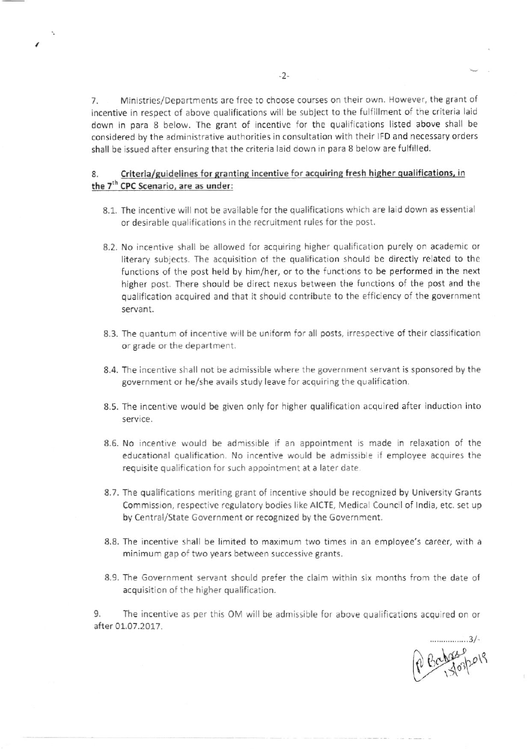7. Ministries/Departments are free to choose courses on their own. However, the grant of incentive in respect of above qualifications wil be subject to the fulfillment of the criteria lald down in para 8 below. The grant of incentive for the qualifications listed above shall be considered by the administrative authorities in consultation with their IFD and necessary orders shall be issued after ensuring that the criteria laid down in para 8 below are fulfilled.

## 8. Criteria/guidelines for granting incentive for acquiring fresh higher qualifications, in the 7<sup>th</sup> CPC Scenario, are as under:

- 8.1. The incentive will not be available for the qualifications which are laid down as essentia or desirable quallfications in the recruitment rules for the post.
- 8.2. No incentive shall be allowed for acquiring higher qualification purely on academic or literary subjects. The acquisition of the qualification should be directly related to the functions of the post held by him/her, or to the functions to be performed in the next higher post. There should be direct nexus between the functions of the post and the qualification acquired and that it should contribute to the efficiency of the government servant.
- 8.3. The quantum of incentive will be uniform for all posts, irrespective of their classification or grade or the department.
- 8.4. The incentive shall not be admissible where the government servant is sponsored by the government or he/she avails study leave for acquiring the qualification.
- 8.5. The incentive would be given only for higher qualification acquired after induction into service.
- 8.6. No incentive would be admissible if an appointment is made in relaxation of the educational qualification. No incentive would be admissible if employee acquires the requisite qualification for such appointment at a later date.
- 8.7. The qualifications meriting grant of incentive should be recognized by University Grants commission, respective regulatory bodies like AICTE, Medical Council of lndia, etc. set up by Central/State Government or recognized by the Government.
- 8.8. The incentive shall be limited to maximum two times in an employee's career, with <sup>a</sup> minimum gap of two years between successive grants.
- 8.9. The Government servant should prefer the claim within six months from the date of acquisition of the higher qualification.

9. The incentive as per this OM will be admissible for above qualifications acquired on or after 01.07.2017.

P Baharepors